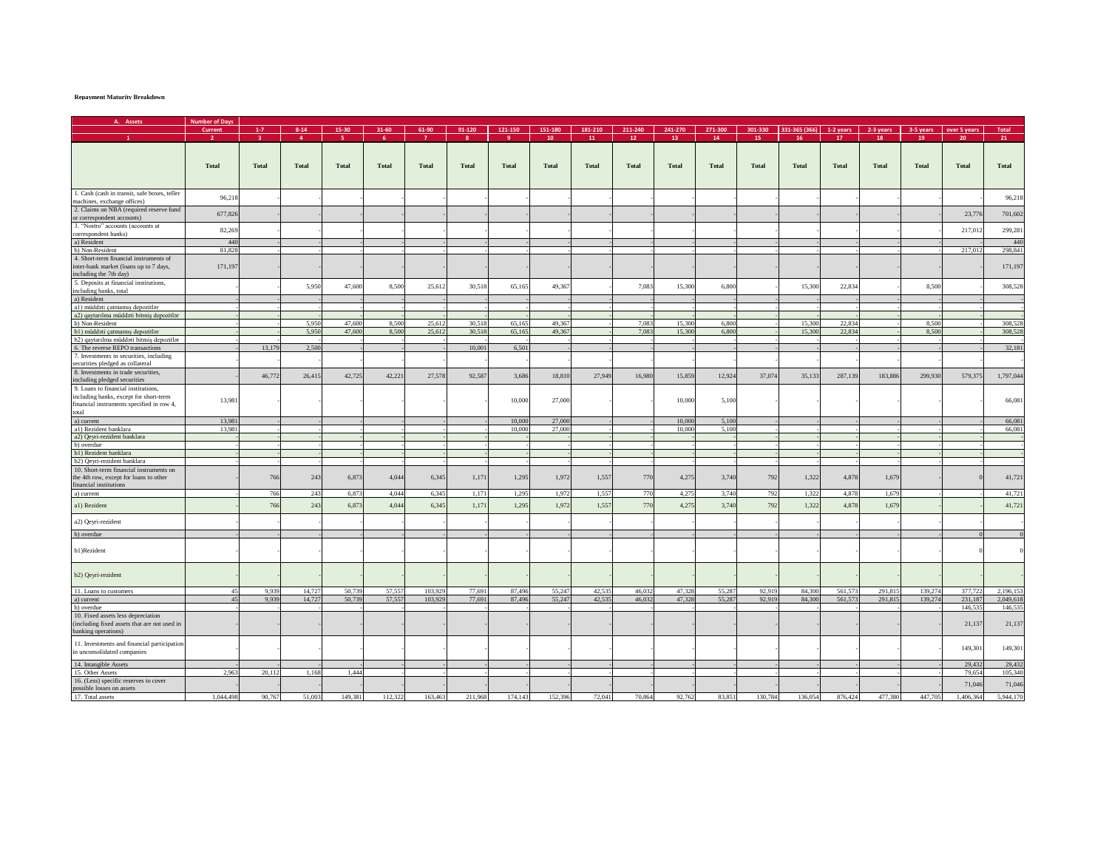## **Repayment Maturity Breakdown**

| A. Assets                                     | <b>Number of Days</b> |                |                |         |         |         |              |              |         |         |                 |         |         |         |               |              |              |              |              |              |
|-----------------------------------------------|-----------------------|----------------|----------------|---------|---------|---------|--------------|--------------|---------|---------|-----------------|---------|---------|---------|---------------|--------------|--------------|--------------|--------------|--------------|
|                                               | Current               | $1-7$          | $8 - 14$       | 15-30   | 31-60   | 61-90   | 91-120       | 121-150      | 151-180 | 181-210 | 211-240         | 241-270 | 271-300 | 301-330 | 331-365 (366) | 1-2 years    | 2-3 years    | 3-5 years    | over 5 years | <b>Total</b> |
|                                               |                       | $\overline{3}$ | $\overline{a}$ | -5.     | -6      |         | $\mathbf{R}$ | -9           | 10      | 11      | 12 <sub>1</sub> | 13      | 14      | 15      | 16            | 17           | 18           | 19           | 20           | 21           |
|                                               |                       |                |                |         |         |         |              |              |         |         |                 |         |         |         |               |              |              |              |              |              |
|                                               |                       |                |                |         |         |         |              |              |         |         |                 |         |         |         |               |              |              |              |              |              |
|                                               |                       |                |                |         |         |         |              |              |         |         |                 |         |         |         |               |              |              |              |              |              |
|                                               | <b>Total</b>          | <b>Total</b>   | <b>Total</b>   | Total   | Total   | Total   | <b>Total</b> | <b>Total</b> | Total   | Total   | Total           | Total   | Total   | Total   | Total         | <b>Total</b> | <b>Total</b> | <b>Total</b> | Total        | Total        |
|                                               |                       |                |                |         |         |         |              |              |         |         |                 |         |         |         |               |              |              |              |              |              |
|                                               |                       |                |                |         |         |         |              |              |         |         |                 |         |         |         |               |              |              |              |              |              |
| 1. Cash (cash in transit, safe boxes, teller  |                       |                |                |         |         |         |              |              |         |         |                 |         |         |         |               |              |              |              |              |              |
|                                               | 96,218                |                |                |         |         |         |              |              |         |         |                 |         |         |         |               |              |              |              |              | 96,21        |
| machines, exchange offices)                   |                       |                |                |         |         |         |              |              |         |         |                 |         |         |         |               |              |              |              |              |              |
| 2. Claims on NBA (required reserve fund       | 677,826               |                |                |         |         |         |              |              |         |         |                 |         |         |         |               |              |              |              | 23,776       | 701,602      |
| or correspondent accounts)                    |                       |                |                |         |         |         |              |              |         |         |                 |         |         |         |               |              |              |              |              |              |
| 3. "Nostro" accounts (accounts at             | 82,269                |                |                |         |         |         |              |              |         |         |                 |         |         |         |               |              |              |              | 217,012      | 299,281      |
| correspondent banks)                          |                       |                |                |         |         |         |              |              |         |         |                 |         |         |         |               |              |              |              |              |              |
| a) Resident                                   | 44(                   |                |                |         |         |         |              |              |         |         |                 |         |         |         |               |              |              |              |              | 44(          |
| b) Non-Resident                               | 81,828                |                |                |         |         |         |              |              |         |         |                 |         |         |         |               |              |              |              | 217,012      | 298,841      |
| 4. Short-term financial instruments of        |                       |                |                |         |         |         |              |              |         |         |                 |         |         |         |               |              |              |              |              |              |
| inter-bank market (loans up to 7 days,        | 171,197               |                |                |         |         |         |              |              |         |         |                 |         |         |         |               |              |              |              |              | 171,197      |
| including the 7th day)                        |                       |                |                |         |         |         |              |              |         |         |                 |         |         |         |               |              |              |              |              |              |
| 5. Deposits at financial institutions,        |                       |                |                |         |         |         |              |              |         |         |                 |         |         |         |               |              |              |              |              |              |
| including banks, total                        |                       |                | 5,950          | 47,600  | 8,500   | 25,612  | 30,518       | 65,165       | 49,367  |         | 7,083           | 15,300  | 6,800   |         | 15,300        | 22,834       |              | 8,500        |              | 308,528      |
| a) Resident                                   |                       |                |                |         |         |         |              |              |         |         |                 |         |         |         |               |              |              |              |              |              |
|                                               |                       |                |                |         |         |         |              |              |         |         |                 |         |         |         |               |              |              |              |              |              |
| al) müddəti çatmamış depozitlər               |                       |                |                |         |         |         |              |              |         |         |                 |         |         |         |               |              |              |              |              |              |
| a2) qaytarılma müddəti bitmiş depozitlər      |                       |                |                |         |         |         |              |              |         |         |                 |         |         |         |               |              |              |              |              |              |
| b) Non-Resident                               |                       |                | 5,950          | 47,600  | 8,500   | 25,612  | 30,518       | 65,165       | 49,367  |         | 7,083           | 15,300  | 6,800   |         | 15,300        | 22,834       |              | 8,500        |              | 308,52       |
| b1) müddəti çatmamış depozitlər               |                       |                | 5,950          | 47,600  | 8,500   | 25,612  | 30,518       | 65,165       | 49,367  |         | 7,083           | 15,300  | 6,800   |         | 15,300        | 22,834       |              | 8,500        |              | 308,528      |
| b2) qaytarılma müddəti bitmiş depozitlər      |                       |                |                |         |         |         |              |              |         |         |                 |         |         |         |               |              |              |              |              |              |
| 6. The reverse REPO transactions              |                       | 13,179         | 2,500          |         |         |         | 10,001       | 6,501        |         |         |                 |         |         |         |               |              |              |              |              | 32,181       |
| 7. Investments in securities, including       |                       |                |                |         |         |         |              |              |         |         |                 |         |         |         |               |              |              |              |              |              |
| securities pledged as collateral              |                       |                |                |         |         |         |              |              |         |         |                 |         |         |         |               |              |              |              |              |              |
| 8. Investments in trade securities            |                       |                |                |         |         |         |              |              |         |         |                 |         |         |         |               |              |              |              |              |              |
| including pledged securities                  |                       | 46,772         | 26,415         | 42,725  | 42,221  | 27,578  | 92,587       | 3,686        | 18,810  | 27,949  | 16,980          | 15,859  | 12,924  | 37,074  | 35,133        | 287,139      | 183,886      | 299,930      | 579,375      | 1,797,04     |
| 9. Loans to financial institutions,           |                       |                |                |         |         |         |              |              |         |         |                 |         |         |         |               |              |              |              |              |              |
| including banks, except for short-term        |                       |                |                |         |         |         |              |              |         |         |                 |         |         |         |               |              |              |              |              |              |
| financial instruments specified in row 4,     | 13,981                |                |                |         |         |         |              | 10,000       | 27,000  |         |                 | 10,000  | 5,100   |         |               |              |              |              |              | 66,081       |
| total                                         |                       |                |                |         |         |         |              |              |         |         |                 |         |         |         |               |              |              |              |              |              |
|                                               |                       |                |                |         |         |         |              |              |         |         |                 |         |         |         |               |              |              |              |              |              |
| a) current                                    | 13,981                |                |                |         |         |         |              | 10,000       | 27,000  |         |                 | 10,000  | 5,100   |         |               |              |              |              |              | 66,081       |
| al) Rezident banklara                         | 13,981                |                |                |         |         |         |              | 10,000       | 27,000  |         |                 | 10,000  | 5,100   |         |               |              |              |              |              | 66,08        |
| a2) Qeyri-rezident banklara                   |                       |                |                |         |         |         |              |              |         |         |                 |         |         |         |               |              |              |              |              |              |
| b) overdue                                    |                       |                |                |         |         |         |              |              |         |         |                 |         |         |         |               |              |              |              |              |              |
| b1) Rezident banklara                         |                       |                |                |         |         |         |              |              |         |         |                 |         |         |         |               |              |              |              |              |              |
| b2) Qeyri-rezident banklara                   |                       |                |                |         |         |         |              |              |         |         |                 |         |         |         |               |              |              |              |              |              |
| 10. Short-term financial instruments on       |                       |                |                |         |         |         |              |              |         |         |                 |         |         |         |               |              |              |              |              |              |
| the 4th row, except for loans to other        |                       | 766            | 243            | 6,873   | 4,044   | 6,345   | 1,171        | 1,295        | 1,972   | 1,557   | 770             | 4,275   | 3,740   | 792     | 1,322         | 4,878        | 1,679        |              |              | 41,721       |
| financial institutions                        |                       |                |                |         |         |         |              |              |         |         |                 |         |         |         |               |              |              |              |              |              |
| a) current                                    |                       | 766            | 243            | 6,873   | 4.044   | 6,345   | 1,171        | 1,295        | 1,972   | 1,557   | 770             | 4,275   | 3,740   | 792     | 1,322         | 4,878        | 1,679        |              |              | 41,72        |
|                                               |                       |                |                |         |         |         |              |              |         |         |                 |         |         |         |               |              |              |              |              |              |
| al) Rezident                                  |                       | 766            | 243            | 6,873   | 4,044   | 6,345   | 1,171        | 1,295        | 1,972   | 1,557   | 770             | 4,275   | 3,740   | 792     | 1,322         | 4,878        | 1,679        |              |              | 41,721       |
|                                               |                       |                |                |         |         |         |              |              |         |         |                 |         |         |         |               |              |              |              |              |              |
| a2) Qeyri-rezident                            |                       |                |                |         |         |         |              |              |         |         |                 |         |         |         |               |              |              |              |              |              |
|                                               |                       |                |                |         |         |         |              |              |         |         |                 |         |         |         |               |              |              |              |              |              |
| b) overdue                                    |                       |                |                |         |         |         |              |              |         |         |                 |         |         |         |               |              |              |              |              |              |
|                                               |                       |                |                |         |         |         |              |              |         |         |                 |         |         |         |               |              |              |              |              |              |
| b1)Rezident                                   |                       |                |                |         |         |         |              |              |         |         |                 |         |         |         |               |              |              |              |              |              |
|                                               |                       |                |                |         |         |         |              |              |         |         |                 |         |         |         |               |              |              |              |              |              |
|                                               |                       |                |                |         |         |         |              |              |         |         |                 |         |         |         |               |              |              |              |              |              |
| b2) Qeyri-rezident                            |                       |                |                |         |         |         |              |              |         |         |                 |         |         |         |               |              |              |              |              |              |
|                                               |                       |                |                |         |         |         |              |              |         |         |                 |         |         |         |               |              |              |              |              |              |
| 11. Loans to customers                        | 45                    | 9,939          | 14,727         | 50,739  | 57,557  | 103,929 | 77,691       | 87,496       | 55,247  | 42,535  | 46,032          | 47,328  | 55,287  | 92,919  | 84,300        | 561,57       | 291,815      | 139,274      | 377,722      | 2,196,15     |
| a) current                                    | 45                    | 9,939          | 14,727         | 50,739  | 57,557  | 103,929 | 77,691       | 87,496       | 55,247  | 42,535  | 46,032          | 47,328  | 55,287  | 92,919  | 84,300        | 561,573      | 291,815      | 139,274      | 231,187      | 2,049,618    |
| b) overdue                                    |                       |                |                |         |         |         |              |              |         |         |                 |         |         |         |               |              |              |              | 146,535      | 146,53       |
| 10. Fixed assets less depreciation            |                       |                |                |         |         |         |              |              |         |         |                 |         |         |         |               |              |              |              |              |              |
|                                               |                       |                |                |         |         |         |              |              |         |         |                 |         |         |         |               |              |              |              |              | 21,137       |
| (including fixed assets that are not used in  |                       |                |                |         |         |         |              |              |         |         |                 |         |         |         |               |              |              |              | 21,137       |              |
| banking operations)                           |                       |                |                |         |         |         |              |              |         |         |                 |         |         |         |               |              |              |              |              |              |
| 11. Investments and financial participation   |                       |                |                |         |         |         |              |              |         |         |                 |         |         |         |               |              |              |              |              |              |
| in unconsolidated companies                   |                       |                |                |         |         |         |              |              |         |         |                 |         |         |         |               |              |              |              | 149,301      | 149,301      |
|                                               |                       |                |                |         |         |         |              |              |         |         |                 |         |         |         |               |              |              |              |              |              |
| 14. Intangible Assets                         |                       |                |                |         |         |         |              |              |         |         |                 |         |         |         |               |              |              |              | 29,432       | 29,432       |
| 15. Other Assets                              | 2,963                 | 20,112         | 1,168          | 1,444   |         |         |              |              |         |         |                 |         |         |         |               |              |              |              | 79,654       | 105,340      |
| 16. (Less) specific reserves to cover         |                       |                |                |         |         |         |              |              |         |         |                 |         |         |         |               |              |              |              |              |              |
|                                               |                       |                |                |         |         |         |              |              |         |         |                 |         |         |         |               |              |              |              | 71,046       | 71,046       |
| possible losses on assets<br>17. Total assets | 1,044,498             | 90,767         | 51,003         | 149,381 | 112,322 | 163,463 | 211,968      | 174,143      | 152,396 | 72,041  | 70,864          | 92,762  | 83,851  | 130,784 | 136,054       | 876,424      | 477,380      | 447,705      | 1,406,364    | 5,944,170    |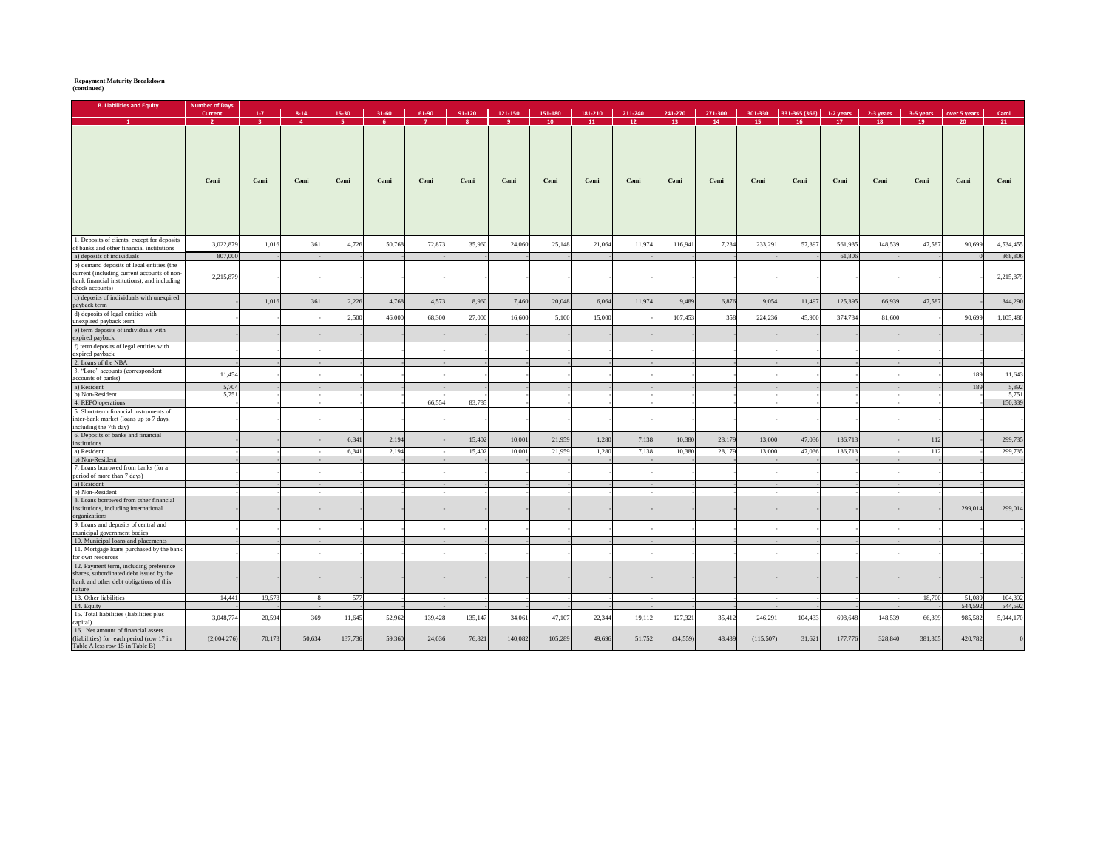## **Repayment Maturity Breakdown (continued)**

| <b>B. Liabilities and Equity</b>                                                                                                                           | <b>Number of Days</b> |                |                |         |        |         |         |         |         |         |         |           |         |           |               |           |           |           |              |           |
|------------------------------------------------------------------------------------------------------------------------------------------------------------|-----------------------|----------------|----------------|---------|--------|---------|---------|---------|---------|---------|---------|-----------|---------|-----------|---------------|-----------|-----------|-----------|--------------|-----------|
|                                                                                                                                                            | Current               | $1-7$          | $8 - 14$       | 15-30   | 31-60  | 61-90   | 91-120  | 121-150 | 151-180 | 181-210 | 211-240 | 241-270   | 271-300 | 301-330   | 331-365 (366) | 1-2 years | 2-3 years | 3-5 years | over 5 years | Cami      |
|                                                                                                                                                            | $\mathcal{L}$         | 3 <sup>1</sup> | 4 <sup>1</sup> | -5 -    | -6     |         |         |         | 10      | 11      | 12      | 13        | 14      | 15        | 16            | 17        | 18        | 19        | 20           | 21        |
| 1. Deposits of clients, except for deposits                                                                                                                | Cami                  | Cami           | Cami           | Cami    | Cami   | Cəmi    | Cəmi    | Cami    | Cami    | Cəmi    | Cəmi    | Cami      | Cami    | Cəmi      | Cəmi          | Cami      | Cami      | Cami      | Cami         | Cəmi      |
| of banks and other financial institutions                                                                                                                  | 3,022,879             | 1,016          | 361            | 4,726   | 50,768 | 72,873  | 35,960  | 24,060  | 25,148  | 21,064  | 11,974  | 116,941   | 7,234   | 233,291   | 57,397        | 561,935   | 148,539   | 47,587    | 90,699       | 4,534,455 |
| a) deposits of individuals                                                                                                                                 | 807,000               |                |                |         |        |         |         |         |         |         |         |           |         |           |               | 61,806    |           |           |              | 868,806   |
|                                                                                                                                                            |                       |                |                |         |        |         |         |         |         |         |         |           |         |           |               |           |           |           |              |           |
| b) demand deposits of legal entities (the<br>current (including current accounts of non-<br>bank financial institutions), and including<br>check accounts) | 2,215,879             |                |                |         |        |         |         |         |         |         |         |           |         |           |               |           |           |           |              | 2,215,879 |
| c) deposits of individuals with unexpired<br>payback term                                                                                                  |                       | 1,016          | 361            | 2,226   | 4,768  | 4,573   | 8,960   | 7,460   | 20,048  | 6,064   | 11,974  | 9,489     | 6,876   | 9,054     | 11,497        | 125,395   | 66,939    | 47,587    |              | 344,290   |
| d) deposits of legal entities with<br>unexpired payback term                                                                                               |                       |                |                | 2,500   | 46,000 | 68,300  | 27,000  | 16,600  | 5,100   | 15,000  |         | 107,453   | 358     | 224,236   | 45,900        | 374,734   | 81,600    |           | 90,699       | 1,105,480 |
| e) term deposits of individuals with<br>expired payback                                                                                                    |                       |                |                |         |        |         |         |         |         |         |         |           |         |           |               |           |           |           |              |           |
| f) term deposits of legal entities with<br>expired payback                                                                                                 |                       |                |                |         |        |         |         |         |         |         |         |           |         |           |               |           |           |           |              |           |
| 2. Loans of the NBA                                                                                                                                        |                       |                |                |         |        |         |         |         |         |         |         |           |         |           |               |           |           |           |              |           |
| 3. "Loro" accounts (correspondent<br>accounts of banks)                                                                                                    | 11,454                |                |                |         |        |         |         |         |         |         |         |           |         |           |               |           |           |           | 189          | 11,643    |
| a) Resident                                                                                                                                                | 5,704                 |                |                |         |        |         |         |         |         |         |         |           |         |           |               |           |           |           | 189          | 5,892     |
| b) Non-Resident                                                                                                                                            | 5,751                 |                |                |         |        |         |         |         |         |         |         |           |         |           |               |           |           |           |              | 5,751     |
| 4. REPO operations                                                                                                                                         |                       |                |                |         |        | 66,554  | 83,785  |         |         |         |         |           |         |           |               |           |           |           |              | 150,339   |
| 5. Short-term financial instruments of<br>inter-bank market (loans up to 7 days,<br>including the 7th day)                                                 |                       |                |                |         |        |         |         |         |         |         |         |           |         |           |               |           |           |           |              |           |
| 6. Deposits of banks and financial<br>institutions                                                                                                         |                       |                |                | 6,341   | 2,194  |         | 15,402  | 10,001  | 21,959  | 1.280   | 7,138   | 10.380    | 28,179  | 13,000    | 47,036        | 136,713   |           | 112       |              | 299,735   |
| a) Resident                                                                                                                                                |                       |                |                | 6,341   | 2,194  |         | 15,402  | 10,001  | 21,959  | 1,280   | 7,138   | 10,380    | 28,179  | 13,000    | 47,036        | 136,713   |           | 112       |              | 299,735   |
| b) Non-Resident                                                                                                                                            |                       |                |                |         |        |         |         |         |         |         |         |           |         |           |               |           |           |           |              |           |
| 7. Loans borrowed from banks (for a                                                                                                                        |                       |                |                |         |        |         |         |         |         |         |         |           |         |           |               |           |           |           |              |           |
| period of more than 7 days)                                                                                                                                |                       |                |                |         |        |         |         |         |         |         |         |           |         |           |               |           |           |           |              |           |
| a) Resident<br>b) Non-Resident                                                                                                                             |                       |                |                |         |        |         |         |         |         |         |         |           |         |           |               |           |           |           |              |           |
| 8. Loans borrowed from other financial<br>institutions, including international                                                                            |                       |                |                |         |        |         |         |         |         |         |         |           |         |           |               |           |           |           | 299,014      | 299,014   |
| organizations<br>9. Loans and deposits of central and                                                                                                      |                       |                |                |         |        |         |         |         |         |         |         |           |         |           |               |           |           |           |              |           |
| municipal government bodies<br>10. Municipal loans and placements                                                                                          |                       |                |                |         |        |         |         |         |         |         |         |           |         |           |               |           |           |           |              |           |
| 11. Mortgage loans purchased by the bank<br>for own resources                                                                                              |                       |                |                |         |        |         |         |         |         |         |         |           |         |           |               |           |           |           |              |           |
| 12. Payment term, including preference<br>shares, subordinated debt issued by the<br>bank and other debt obligations of this<br>nature                     |                       |                |                |         |        |         |         |         |         |         |         |           |         |           |               |           |           |           |              |           |
| 13. Other liabilities                                                                                                                                      | 14,441                | 19,578         |                | 577     |        |         |         |         |         |         |         |           |         |           |               |           |           | 18,700    | 51,089       | 104,392   |
| 14. Equity                                                                                                                                                 |                       |                |                |         |        |         |         |         |         |         |         |           |         |           |               |           |           |           | 544.592      | 544,592   |
| 15. Total liabilities (liabilities plus<br>capital)                                                                                                        | 3,048,77              | 20,594         | 369            | 11,645  | 52,962 | 139,428 | 135,147 | 34,061  | 47,107  | 22,344  | 19,112  | 127,321   | 35,412  | 246,291   | 104,433       | 698,648   | 148,539   | 66,399    | 985,582      | 5,944,170 |
| 16. Net amount of financial assets<br>(liabilities) for each period (row 17 in<br>Table A less row 15 in Table B)                                          | (2,004,276)           | 70,173         | 50,634         | 137,736 | 59,360 | 24,036  | 76,821  | 140,082 | 105,289 | 49,696  | 51,752  | (34, 559) | 48,439  | (115,507) | 31,621        | 177,776   | 328,840   | 381,305   | 420,782      | $\Omega$  |